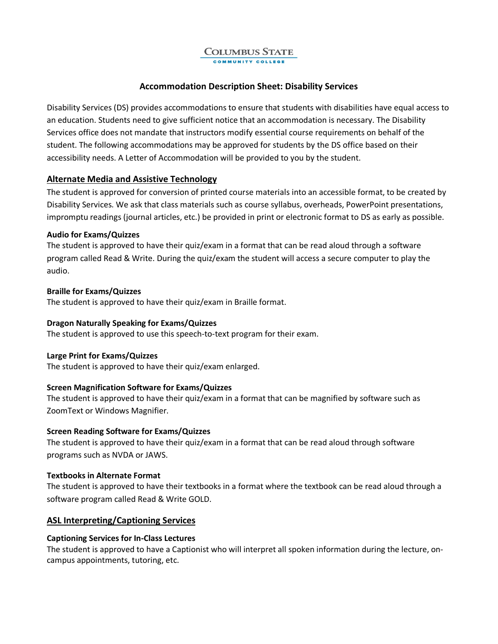#### **COLUMBUS STATE** COMMUNITY COLLE

# **Accommodation Description Sheet: Disability Services**

Disability Services (DS) provides accommodations to ensure that students with disabilities have equal access to an education. Students need to give sufficient notice that an accommodation is necessary. The Disability Services office does not mandate that instructors modify essential course requirements on behalf of the student. The following accommodations may be approved for students by the DS office based on their accessibility needs. A Letter of Accommodation will be provided to you by the student.

# **Alternate Media and Assistive Technology**

The student is approved for conversion of printed course materials into an accessible format, to be created by Disability Services. We ask that class materials such as course syllabus, overheads, PowerPoint presentations, impromptu readings (journal articles, etc.) be provided in print or electronic format to DS as early as possible.

# **Audio for Exams/Quizzes**

The student is approved to have their quiz/exam in a format that can be read aloud through a software program called Read & Write. During the quiz/exam the student will access a secure computer to play the audio.

# **Braille for Exams/Quizzes**

The student is approved to have their quiz/exam in Braille format.

# **Dragon Naturally Speaking for Exams/Quizzes**

The student is approved to use this speech-to-text program for their exam.

# **Large Print for Exams/Quizzes**

The student is approved to have their quiz/exam enlarged.

# **Screen Magnification Software for Exams/Quizzes**

The student is approved to have their quiz/exam in a format that can be magnified by software such as ZoomText or Windows Magnifier.

# **Screen Reading Software for Exams/Quizzes**

The student is approved to have their quiz/exam in a format that can be read aloud through software programs such as NVDA or JAWS.

# **Textbooks in Alternate Format**

The student is approved to have their textbooks in a format where the textbook can be read aloud through a software program called Read & Write GOLD.

# **ASL Interpreting/Captioning Services**

# **Captioning Services for In-Class Lectures**

The student is approved to have a Captionist who will interpret all spoken information during the lecture, oncampus appointments, tutoring, etc.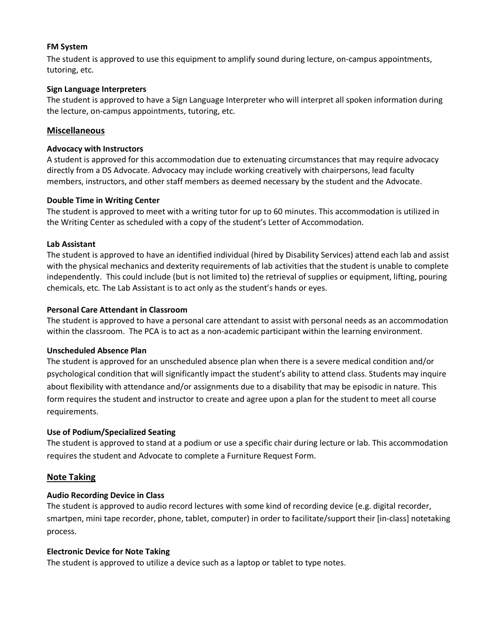# **FM System**

The student is approved to use this equipment to amplify sound during lecture, on-campus appointments, tutoring, etc.

## **Sign Language Interpreters**

The student is approved to have a Sign Language Interpreter who will interpret all spoken information during the lecture, on-campus appointments, tutoring, etc.

## **Miscellaneous**

#### **Advocacy with Instructors**

A student is approved for this accommodation due to extenuating circumstances that may require advocacy directly from a DS Advocate. Advocacy may include working creatively with chairpersons, lead faculty members, instructors, and other staff members as deemed necessary by the student and the Advocate.

## **Double Time in Writing Center**

The student is approved to meet with a writing tutor for up to 60 minutes. This accommodation is utilized in the Writing Center as scheduled with a copy of the student's Letter of Accommodation.

## **Lab Assistant**

The student is approved to have an identified individual (hired by Disability Services) attend each lab and assist with the physical mechanics and dexterity requirements of lab activities that the student is unable to complete independently. This could include (but is not limited to) the retrieval of supplies or equipment, lifting, pouring chemicals, etc. The Lab Assistant is to act only as the student's hands or eyes.

## **Personal Care Attendant in Classroom**

The student is approved to have a personal care attendant to assist with personal needs as an accommodation within the classroom. The PCA is to act as a non-academic participant within the learning environment.

#### **Unscheduled Absence Plan**

The student is approved for an unscheduled absence plan when there is a severe medical condition and/or psychological condition that will significantly impact the student's ability to attend class. Students may inquire about flexibility with attendance and/or assignments due to a disability that may be episodic in nature. This form requires the student and instructor to create and agree upon a plan for the student to meet all course requirements.

# **Use of Podium/Specialized Seating**

The student is approved to stand at a podium or use a specific chair during lecture or lab. This accommodation requires the student and Advocate to complete a Furniture Request Form.

# **Note Taking**

# **Audio Recording Device in Class**

The student is approved to audio record lectures with some kind of recording device (e.g. digital recorder, smartpen, mini tape recorder, phone, tablet, computer) in order to facilitate/support their [in-class] notetaking process.

#### **Electronic Device for Note Taking**

The student is approved to utilize a device such as a laptop or tablet to type notes.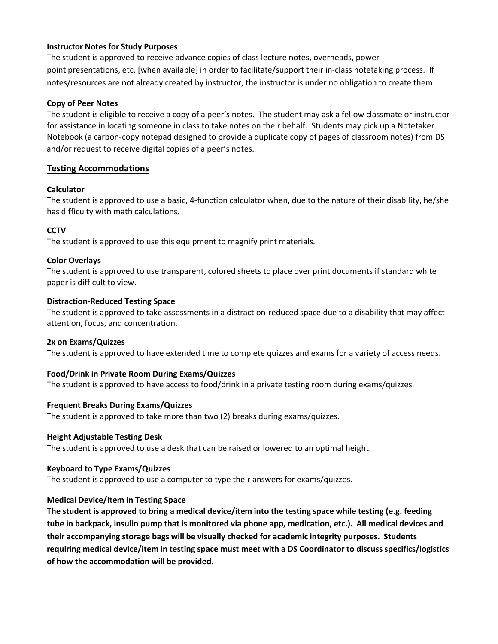## **Instructor Notes for Study Purposes**

The student is approved to receive advance copies of class lecture notes, overheads, power point presentations, etc. [when available] in order to facilitate/support their in-class notetaking process. If notes/resources are not already created by instructor, the instructor is under no obligation to create them.

## **Copy of Peer Notes**

The student is eligible to receive a copy of a peer's notes. The student may ask a fellow classmate or instructor for assistance in locating someone in class to take notes on their behalf. Students may pick up a Notetaker Notebook (a carbon-copy notepad designed to provide a duplicate copy of pages of classroom notes) from DS and/or request to receive digital copies of a peer's notes.

# **Testing Accommodations**

## **Calculator**

The student is approved to use a basic, 4-function calculator when, due to the nature of their disability, he/she has difficulty with math calculations.

## **CCTV**

The student is approved to use this equipment to magnify print materials.

## **Color Overlays**

The student is approved to use transparent, colored sheets to place over print documents if standard white paper is difficult to view.

## **Distraction-Reduced Testing Space**

The student is approved to take assessments in a distraction-reduced space due to a disability that may affect attention, focus, and concentration.

#### **2x on Exams/Quizzes**

The student is approved to have extended time to complete quizzes and exams for a variety of access needs.

# **Food/Drink in Private Room During Exams/Quizzes**

The student is approved to have access to food/drink in a private testing room during exams/quizzes.

#### **Frequent Breaks During Exams/Quizzes**

The student is approved to take more than two (2) breaks during exams/quizzes.

#### **Height Adjustable Testing Desk**

The student is approved to use a desk that can be raised or lowered to an optimal height.

#### **Keyboard to Type Exams/Quizzes**

The student is approved to use a computer to type their answers for exams/quizzes.

# **Medical Device/Item in Testing Space**

**The student is approved to bring a medical device/item into the testing space while testing (e.g. feeding tube in backpack, insulin pump that is monitored via phone app, medication, etc.). All medical devices and their accompanying storage bags will be visually checked for academic integrity purposes. Students requiring medical device/item in testing space must meet with a DS Coordinator to discuss specifics/logistics of how the accommodation will be provided.**